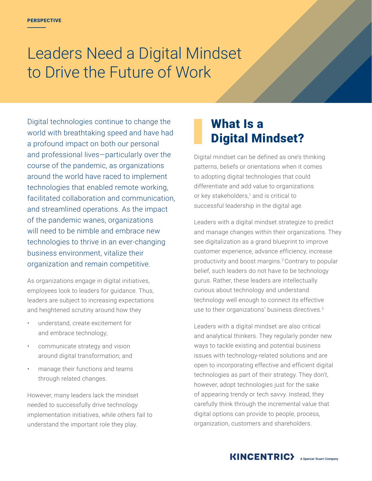# Leaders Need a Digital Mindset to Drive the Future of Work

Digital technologies continue to change the world with breathtaking speed and have had a profound impact on both our personal and professional lives—particularly over the course of the pandemic, as organizations around the world have raced to implement technologies that enabled remote working, facilitated collaboration and communication, and streamlined operations. As the impact of the pandemic wanes, organizations will need to be nimble and embrace new technologies to thrive in an ever-changing business environment, vitalize their organization and remain competitive.

As organizations engage in digital initiatives, employees look to leaders for guidance. Thus, leaders are subject to increasing expectations and heightened scrutiny around how they

- understand, create excitement for and embrace technology;
- communicate strategy and vision around digital transformation; and
- manage their functions and teams through related changes.

However, many leaders lack the mindset needed to successfully drive technology implementation initiatives, while others fail to understand the important role they play.

# What Is a Digital Mindset?

Digital mindset can be defined as one's thinking patterns, beliefs or orientations when it comes to adopting digital technologies that could differentiate and add value to organizations or key stakeholders, $1$  and is critical to successful leadership in the digital age.

Leaders with a digital mindset strategize to predict and manage changes within their organizations. They see digitalization as a grand blueprint to improve customer experience, advance efficiency, increase productivity and boost margins.2 Contrary to popular belief, such leaders do not have to be technology gurus. Rather, these leaders are intellectually curious about technology and understand technology well enough to connect its effective use to their organizations' business directives.3

Leaders with a digital mindset are also critical and analytical thinkers. They regularly ponder new ways to tackle existing and potential business issues with technology-related solutions and are open to incorporating effective and efficient digital technologies as part of their strategy. They don't, however, adopt technologies just for the sake of appearing trendy or tech savvy. Instead, they carefully think through the incremental value that digital options can provide to people, process, organization, customers and shareholders.

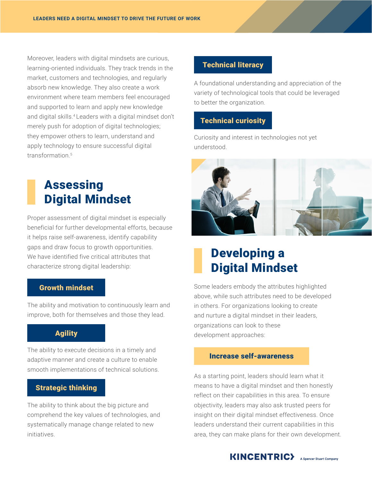Moreover, leaders with digital mindsets are curious, learning-oriented individuals. They track trends in the market, customers and technologies, and regularly absorb new knowledge. They also create a work environment where team members feel encouraged and supported to learn and apply new knowledge and digital skills.<sup>4</sup> Leaders with a digital mindset don't merely push for adoption of digital technologies; they empower others to learn, understand and apply technology to ensure successful digital transformation.<sup>5</sup>

# Assessing Digital Mindset

Proper assessment of digital mindset is especially beneficial for further developmental efforts, because it helps raise self-awareness, identify capability gaps and draw focus to growth opportunities. We have identified five critical attributes that characterize strong digital leadership:

#### Growth mindset

The ability and motivation to continuously learn and improve, both for themselves and those they lead.

### Agility

The ability to execute decisions in a timely and adaptive manner and create a culture to enable smooth implementations of technical solutions.

#### Strategic thinking

The ability to think about the big picture and comprehend the key values of technologies, and systematically manage change related to new initiatives.

### Technical literacy

A foundational understanding and appreciation of the variety of technological tools that could be leveraged to better the organization.

### Technical curiosity

Curiosity and interest in technologies not yet understood.



## Developing a Digital Mindset

Some leaders embody the attributes highlighted above, while such attributes need to be developed in others. For organizations looking to create and nurture a digital mindset in their leaders, organizations can look to these development approaches:

#### Increase self-awareness

As a starting point, leaders should learn what it means to have a digital mindset and then honestly reflect on their capabilities in this area. To ensure objectivity, leaders may also ask trusted peers for insight on their digital mindset effectiveness. Once leaders understand their current capabilities in this area, they can make plans for their own development.